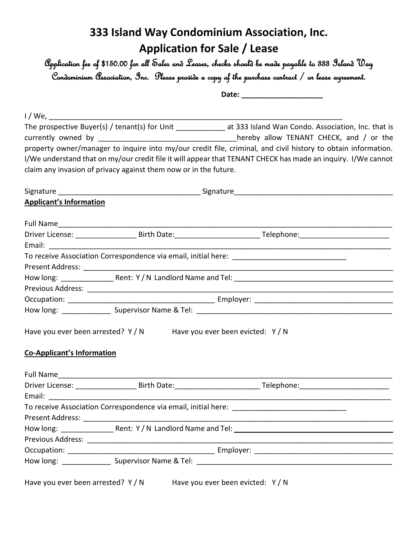# **333 Island Way Condominium Association, Inc. Application for Sale / Lease**

Application fee of \$150.00 for all Sales and Leases, checks should be made payable to 333 Island Way Condominium Association, Inc. Please provide a copy of the purchase contract / or lease agreement.

**Date: \_\_\_\_\_\_\_\_\_\_\_\_\_\_\_\_\_\_\_\_**

| $1/$ We, $\_\_$                   |                                                                      |                                                                                                                      |
|-----------------------------------|----------------------------------------------------------------------|----------------------------------------------------------------------------------------------------------------------|
|                                   |                                                                      | The prospective Buyer(s) / tenant(s) for Unit ______________ at 333 Island Wan Condo. Association, Inc. that is      |
|                                   |                                                                      | currently owned by __________________________________hereby allow TENANT CHECK, and / or the                         |
|                                   |                                                                      | property owner/manager to inquire into my/our credit file, criminal, and civil history to obtain information.        |
|                                   |                                                                      | I/We understand that on my/our credit file it will appear that TENANT CHECK has made an inquiry. I/We cannot         |
|                                   | claim any invasion of privacy against them now or in the future.     |                                                                                                                      |
|                                   |                                                                      |                                                                                                                      |
| <b>Applicant's Information</b>    |                                                                      |                                                                                                                      |
|                                   |                                                                      |                                                                                                                      |
|                                   |                                                                      |                                                                                                                      |
|                                   |                                                                      | <u> 1980 - Jan James James Barnett, amerikan basar pada 2000 - Jan James James James James James James James Jam</u> |
|                                   |                                                                      |                                                                                                                      |
|                                   |                                                                      |                                                                                                                      |
|                                   |                                                                      |                                                                                                                      |
|                                   |                                                                      |                                                                                                                      |
|                                   |                                                                      |                                                                                                                      |
|                                   |                                                                      |                                                                                                                      |
|                                   | Have you ever been arrested? Y / N Have you ever been evicted: Y / N |                                                                                                                      |
| <b>Co-Applicant's Information</b> |                                                                      |                                                                                                                      |
|                                   |                                                                      |                                                                                                                      |
|                                   |                                                                      |                                                                                                                      |
|                                   |                                                                      |                                                                                                                      |
|                                   |                                                                      |                                                                                                                      |
| Present Address:                  |                                                                      |                                                                                                                      |
|                                   |                                                                      |                                                                                                                      |
|                                   |                                                                      |                                                                                                                      |
|                                   |                                                                      |                                                                                                                      |
|                                   |                                                                      |                                                                                                                      |
|                                   | Have you ever been arrested? $Y/N$ Have you ever been evicted: $Y/N$ |                                                                                                                      |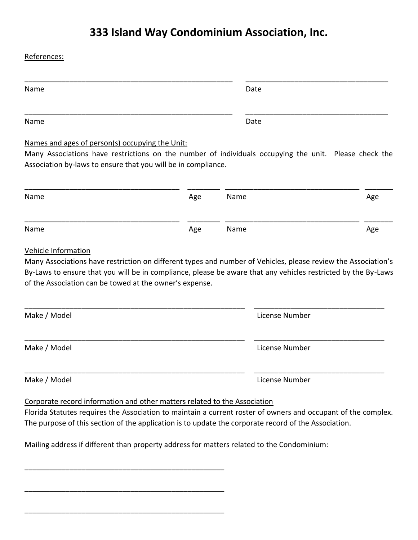# **333 Island Way Condominium Association, Inc.**

| References:                                                                                                   |     |              |                |     |
|---------------------------------------------------------------------------------------------------------------|-----|--------------|----------------|-----|
| Name                                                                                                          |     |              | Date           |     |
| Name                                                                                                          |     |              | Date           |     |
| Names and ages of person(s) occupying the Unit:                                                               |     |              |                |     |
| Many Associations have restrictions on the number of individuals occupying the unit. Please check the         |     |              |                |     |
| Association by-laws to ensure that you will be in compliance.                                                 |     |              |                |     |
|                                                                                                               |     |              |                |     |
| Name                                                                                                          | Age | Name<br>Name |                | Age |
| Name                                                                                                          | Age |              |                | Age |
| Vehicle Information                                                                                           |     |              |                |     |
| Many Associations have restriction on different types and number of Vehicles, please review the Association's |     |              |                |     |
| By-Laws to ensure that you will be in compliance, please be aware that any vehicles restricted by the By-Laws |     |              |                |     |
| of the Association can be towed at the owner's expense.                                                       |     |              |                |     |
| Make / Model                                                                                                  |     |              | License Number |     |
| Make / Model                                                                                                  |     |              | License Number |     |
| Make / Model                                                                                                  |     |              | License Number |     |
|                                                                                                               |     |              |                |     |

Corporate record information and other matters related to the Association

\_\_\_\_\_\_\_\_\_\_\_\_\_\_\_\_\_\_\_\_\_\_\_\_\_\_\_\_\_\_\_\_\_\_\_\_\_\_\_\_\_\_\_\_\_\_\_\_\_

\_\_\_\_\_\_\_\_\_\_\_\_\_\_\_\_\_\_\_\_\_\_\_\_\_\_\_\_\_\_\_\_\_\_\_\_\_\_\_\_\_\_\_\_\_\_\_\_\_

\_\_\_\_\_\_\_\_\_\_\_\_\_\_\_\_\_\_\_\_\_\_\_\_\_\_\_\_\_\_\_\_\_\_\_\_\_\_\_\_\_\_\_\_\_\_\_\_\_

Florida Statutes requires the Association to maintain a current roster of owners and occupant of the complex. The purpose of this section of the application is to update the corporate record of the Association.

Mailing address if different than property address for matters related to the Condominium: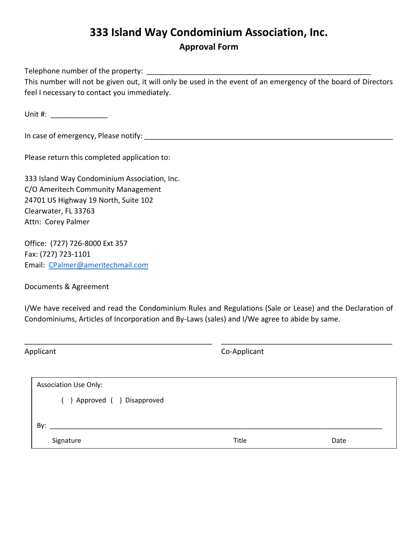## **333 Island Way Condominium Association, Inc. Approval Form**

Telephone number of the property: This number will not be given out, it will only be used in the event of an emergency of the board of Directors feel I necessary to contact you immediately.

Unit  $\#$ :

In case of emergency, Please notify:  $\blacksquare$ 

Please return this completed application to:

333 Island Way Condominium Association, Inc. C/O Ameritech Community Management 24701 US Highway 19 North, Suite 102 Clearwater, FL 33763 Attn: Corey Palmer

Office: (727) 726-8000 Ext 357 Fax: (727) 723-1101 Email: [CPalmer@ameritechmail.com](mailto:CPalmer@ameritechmail.com)

Documents & Agreement

I/We have received and read the Condominium Rules and Regulations (Sale or Lease) and the Declaration of Condominiums, Articles of Incorporation and By-Laws (sales) and I/We agree to abide by same.

| Applicant                                                    | Co-Applicant |      |  |  |  |  |
|--------------------------------------------------------------|--------------|------|--|--|--|--|
| <b>Association Use Only:</b><br>( ) Approved ( ) Disapproved |              |      |  |  |  |  |
| By:<br>Signature                                             | Title        | Date |  |  |  |  |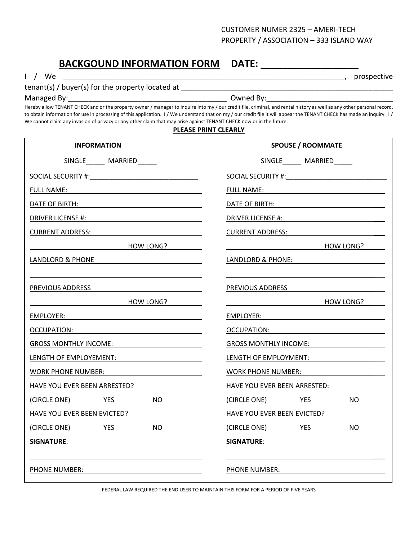### CUSTOMER NUMER 2325 – AMERI-TECH PROPERTY / ASSOCIATION – 333 ISLAND WAY

## BACKGOUND INFORMATION FORM DATE: \_\_\_\_\_\_\_\_\_\_\_

I / We \_\_\_\_\_\_\_\_\_\_\_\_\_\_\_\_\_\_\_\_\_\_\_\_\_\_\_\_\_\_\_\_\_\_\_\_\_\_\_\_\_\_\_\_\_\_\_\_\_\_\_\_\_\_\_\_\_\_\_\_\_\_\_\_\_\_\_\_\_, prospective

| tenant(s) / buyer(s) for the property located at |  |
|--------------------------------------------------|--|
|                                                  |  |

Managed By:\_\_\_\_\_\_\_\_\_\_\_\_\_\_\_\_\_\_\_\_\_\_\_\_\_\_\_\_\_\_\_\_\_\_\_\_\_\_\_ Owned By:\_\_\_\_\_\_\_\_\_\_\_\_\_\_\_\_\_\_\_\_\_\_\_\_\_\_\_\_\_\_\_

Hereby allow TENANT CHECK and or the property owner / manager to inquire into my / our credit file, criminal, and rental history as well as any other personal record, to obtain information for use in processing of this application. I/We understand that on my/our credit file it will appear the TENANT CHECK has made an inquiry. I/ We cannot claim any invasion of privacy or any other claim that may arise against TENANT CHECK now or in the future.

#### **PLEASE PRINT CLEARLY**

| <b>INFORMATION</b>                                                                                                                                                                                                                  | <b>SPOUSE / ROOMMATE</b>                                                                                                                                                                                                            |  |  |  |
|-------------------------------------------------------------------------------------------------------------------------------------------------------------------------------------------------------------------------------------|-------------------------------------------------------------------------------------------------------------------------------------------------------------------------------------------------------------------------------------|--|--|--|
| SINGLE______ MARRIED_____                                                                                                                                                                                                           | SINGLE_______ MARRIED______                                                                                                                                                                                                         |  |  |  |
|                                                                                                                                                                                                                                     |                                                                                                                                                                                                                                     |  |  |  |
|                                                                                                                                                                                                                                     |                                                                                                                                                                                                                                     |  |  |  |
|                                                                                                                                                                                                                                     | DATE OF BIRTH: New York Contract Contract Contract Contract Contract Contract Contract Contract Contract Contract Contract Contract Contract Contract Contract Contract Contract Contract Contract Contract Contract Contract       |  |  |  |
|                                                                                                                                                                                                                                     |                                                                                                                                                                                                                                     |  |  |  |
| <b>CURRENT ADDRESS:</b> Note that the set of the set of the set of the set of the set of the set of the set of the set of the set of the set of the set of the set of the set of the set of the set of the set of the set of the se | <b>CURRENT ADDRESS:</b> Note that the set of the set of the set of the set of the set of the set of the set of the set of the set of the set of the set of the set of the set of the set of the set of the set of the set of the se |  |  |  |
| <b>HOW LONG?</b>                                                                                                                                                                                                                    | <b>HOW LONG?</b>                                                                                                                                                                                                                    |  |  |  |
| LANDLORD & PHONE                                                                                                                                                                                                                    | LANDLORD & PHONE: NAMEL AND A STATE OF THE STATE OF THE STATE OF THE STATE OF THE STATE OF THE STATE OF THE ST                                                                                                                      |  |  |  |
|                                                                                                                                                                                                                                     |                                                                                                                                                                                                                                     |  |  |  |
| PREVIOUS ADDRESS AND ARREST AND A MODEL AND A MODEL AND A MODEL AND A MODEL AND A MODEL AND A MODEL AND A MODEL AND A MODEL AND A MODEL AND A MODEL AND A MODEL AND A MODEL AND A MODEL AND A MODEL AND A MODEL AND A MODEL AN      | PREVIOUS ADDRESS AND THE MANUSCRIPT OF THE VIOLENCE OF THE VIOLENCE OF THE VIOLENCE OF THE VIOLENCE OF THE VIOLENCE OF THE VIOLENCE OF THE VIOLENCE OF THE VIOLENCE OF THE VIOLENCE OF THE VIOLENCE OF THE VIOLENCE OF THE VIO      |  |  |  |
| <b>HOW LONG?</b>                                                                                                                                                                                                                    | <b>Example 19 HOW LONG?</b>                                                                                                                                                                                                         |  |  |  |
|                                                                                                                                                                                                                                     | EMPLOYER: New York State State State State State State State State State State State State State State State S                                                                                                                      |  |  |  |
| OCCUPATION: Network of the state of the state of the state of the state of the state of the state of the state of the state of the state of the state of the state of the state of the state of the state of the state of the       |                                                                                                                                                                                                                                     |  |  |  |
| GROSS MONTHLY INCOME: WE ARRIVE THE MODEL TO A THE MODEL TO A THE MODEL THAT A THE MODEL TO A THE MODEL THAT A THE MODEL THAT A THE MODEL THAT A THE MODEL THAT A THE MODEL THAT A THE MODEL THAT A THE MODEL THAT A THE MODEL      | GROSS MONTHLY INCOME:                                                                                                                                                                                                               |  |  |  |
| LENGTH OF EMPLOYEMENT: NOTES                                                                                                                                                                                                        | LENGTH OF EMPLOYMENT:                                                                                                                                                                                                               |  |  |  |
| WORK PHONE NUMBER: WORK PHONE                                                                                                                                                                                                       | WORK PHONE NUMBER: WORK PHONE NUMBER:                                                                                                                                                                                               |  |  |  |
| <b>HAVE YOU EVER BEEN ARRESTED?</b>                                                                                                                                                                                                 | HAVE YOU EVER BEEN ARRESTED:                                                                                                                                                                                                        |  |  |  |
| (CIRCLE ONE) YES<br>NO.                                                                                                                                                                                                             | (CIRCLE ONE) YES<br>NO.                                                                                                                                                                                                             |  |  |  |
| <b>HAVE YOU EVER BEEN EVICTED?</b>                                                                                                                                                                                                  | <b>HAVE YOU EVER BEEN EVICTED?</b>                                                                                                                                                                                                  |  |  |  |
| (CIRCLE ONE)<br><b>Example 19 YES</b><br>NO.                                                                                                                                                                                        | (CIRCLE ONE)<br><b>Example 19 YES</b><br>NO.                                                                                                                                                                                        |  |  |  |
| <b>SIGNATURE:</b>                                                                                                                                                                                                                   | <b>SIGNATURE:</b>                                                                                                                                                                                                                   |  |  |  |
|                                                                                                                                                                                                                                     |                                                                                                                                                                                                                                     |  |  |  |
| PHONE NUMBER:                                                                                                                                                                                                                       | PHONE NUMBER:                                                                                                                                                                                                                       |  |  |  |

FEDERAL LAW REQUIRED THE END USER TO MAINTAIN THIS FORM FOR A PERIOD OF FIVE YEARS